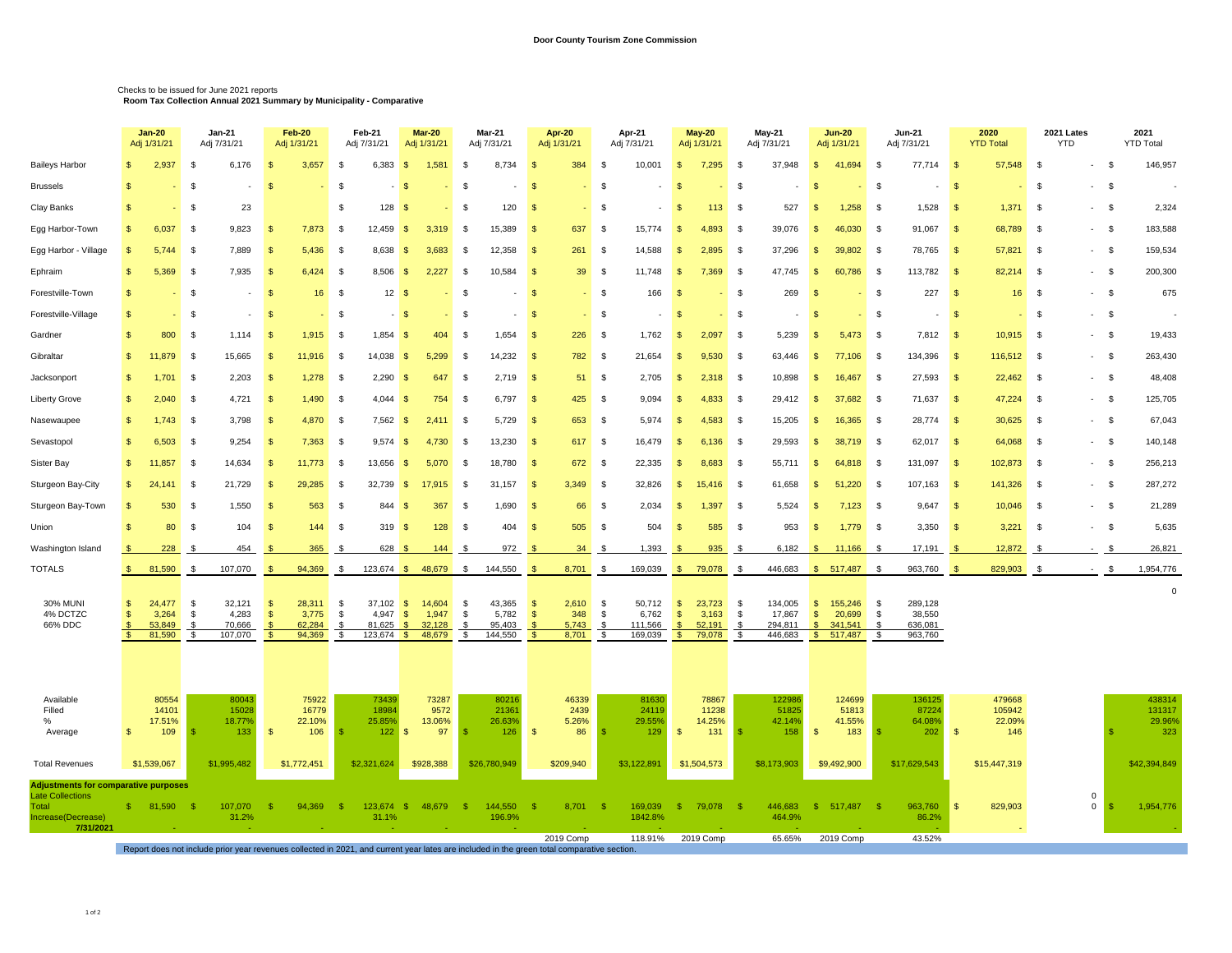## Checks to be issued for June 2021 reports **Room Tax Collection Annual 2021 Summary by Municipality - Comparative**

|                                                                        |                | <b>Jan-20</b><br>Adj 1/31/21        | <b>Jan-21</b><br>Adj 7/31/21                                                                                                               |                            | Feb-20<br>Adj 1/31/21               |                                    | Feb-21<br>Adj 7/31/21                               | <b>Mar-20</b><br>Adj 1/31/21                        | Mar-21<br>Adj 7/31/21                                    |                       | <b>Apr-20</b><br>Adj 1/31/21                                 | Apr-21<br>Adj 7/31/21                                            |                                                 | <b>May-20</b><br>Adj 1/31/21        | <b>May-21</b><br>Adj 7/31/21                                       |       | <b>Jun-20</b><br>Adj 1/31/21                                                                      |                                          | Jun-21<br>Adj 7/31/21                   |            | 2020<br><b>YTD Total</b>          | 2021 Lates<br><b>YTD</b> |              |      | 2021<br><b>YTD Total</b>          |
|------------------------------------------------------------------------|----------------|-------------------------------------|--------------------------------------------------------------------------------------------------------------------------------------------|----------------------------|-------------------------------------|------------------------------------|-----------------------------------------------------|-----------------------------------------------------|----------------------------------------------------------|-----------------------|--------------------------------------------------------------|------------------------------------------------------------------|-------------------------------------------------|-------------------------------------|--------------------------------------------------------------------|-------|---------------------------------------------------------------------------------------------------|------------------------------------------|-----------------------------------------|------------|-----------------------------------|--------------------------|--------------|------|-----------------------------------|
| <b>Baileys Harbor</b>                                                  | \$             | 2,937                               | 6,176<br>\$                                                                                                                                | <b>S</b>                   | 3,657                               | \$                                 | 6,383                                               | 1,581<br>-S                                         | - \$                                                     | 8,734                 | 384<br>-\$                                                   | 10,001<br><b>S</b>                                               | $\sqrt{2}$                                      | 7,295                               | \$<br>37,948                                                       |       | $\mathbf{\hat{s}}$<br>41,694                                                                      | - \$                                     | 77,714                                  | $\sqrt{3}$ | 57,548                            | \$                       |              | \$   | 146,957                           |
| <b>Brussels</b>                                                        | S              |                                     | \$                                                                                                                                         | $\mathbf{s}$               |                                     | - \$                               |                                                     |                                                     | -S                                                       |                       | - \$                                                         | -S                                                               | -8                                              |                                     | -S                                                                 |       | - 95                                                                                              | - \$                                     |                                         | - \$       |                                   | \$                       |              | - \$ |                                   |
| Clay Banks                                                             | \$             |                                     | 23<br>\$                                                                                                                                   |                            |                                     | \$                                 | 128                                                 | - 55                                                | -S                                                       | 120                   | - \$                                                         | - \$                                                             | -\$                                             | 113                                 | - \$                                                               | 527   | 1,258<br>-S                                                                                       | - \$                                     | 1,528                                   | $\sqrt{3}$ | 1,371                             | - \$                     | $-5$         |      | 2,324                             |
| Egg Harbor-Town                                                        | \$.            | 6,037                               | - \$<br>9,823                                                                                                                              | -8                         | 7,873                               | - \$                               | 12.459                                              | 3,319<br>-8                                         | - \$<br>15,389                                           |                       | 637<br>- \$                                                  | -S<br>15,774                                                     | - \$                                            | 4.893                               | - \$<br>39,076                                                     |       | 46,030<br>- \$                                                                                    | - \$                                     | 91,067                                  | $\sqrt{3}$ | 68,789                            | - \$                     | $-5$         |      | 183,588                           |
| Egg Harbor - Village                                                   | - \$           | 5.744                               | 7,889<br>\$                                                                                                                                | - \$                       | 5,436                               | \$                                 | 8,638                                               | 3,683<br>- \$                                       | 12,358<br>-\$                                            |                       | 261<br>-\$                                                   | 14,588<br>- \$                                                   | \$                                              | 2,895                               | 37,296<br>-\$                                                      |       | 39,802<br>- \$                                                                                    | - \$                                     | 78,765                                  | $\sqrt{3}$ | 57,821                            | -\$                      | $-5$         |      | 159,534                           |
| Ephraim                                                                | \$             | 5,369                               | 7,935<br>\$                                                                                                                                | - \$                       | 6,424                               | - \$                               | 8,506                                               | 2.227<br>- \$                                       | 10,584<br>- \$                                           |                       | 39<br>- \$                                                   | 11,748<br>\$                                                     | - \$                                            | 7,369                               | 47.745<br>- \$                                                     |       | <b>S</b><br>60,786                                                                                | - \$                                     | 113,782                                 | $\sqrt{3}$ | 82,214                            | - \$                     | $-5$         |      | 200,300                           |
| Forestville-Town                                                       | \$             |                                     | \$                                                                                                                                         | -\$                        | 16                                  | -S                                 | 12                                                  |                                                     | -S                                                       |                       | - \$                                                         | <b>S</b><br>166                                                  | $\mathcal{S}$                                   |                                     | -S                                                                 | 269   | - \$                                                                                              | \$                                       | 227                                     | $\sqrt{3}$ | 16 <sup>°</sup>                   | - \$                     | $-5$         |      | 675                               |
| Forestville-Village                                                    | \$.            |                                     | -\$                                                                                                                                        | $\mathbf{s}$               |                                     | - \$                               |                                                     |                                                     | -9                                                       |                       |                                                              | - \$                                                             | -9                                              |                                     | - \$                                                               |       |                                                                                                   | -\$                                      |                                         | -S         |                                   | - \$                     | $-5$         |      |                                   |
| Gardner                                                                | \$             | 800                                 | 1,114<br>\$                                                                                                                                | -\$                        | 1,915                               | - \$                               | 1,854                                               | 404<br>-8                                           | - \$                                                     | 1,654                 | 226<br>-\$                                                   | \$<br>1,762                                                      | \$                                              | 2,097                               | \$<br>5,239                                                        |       | - \$<br>5,473                                                                                     | - \$                                     | 7,812                                   | $\sqrt{3}$ | 10,915                            | - \$                     | $-5$         |      | 19,433                            |
| Gibraltar                                                              | - \$           | 11.879                              | 15,665<br>- \$                                                                                                                             | - \$                       | 11,916                              | - \$                               | 14,038                                              | 5,299<br>- \$                                       | 14,232<br>- \$                                           |                       | 782<br>- \$                                                  | 21,654<br>- \$                                                   | \$                                              | 9,530                               | 63,446<br>- \$                                                     |       | 77,106<br>- \$                                                                                    | - \$                                     | 134,396                                 | <b>S</b>   | 116,512                           | - \$                     | $-5$         |      | 263,430                           |
| Jacksonport                                                            | \$             | 1,701                               | 2,203<br>- \$                                                                                                                              | -\$                        | 1,278                               | - \$                               | 2,290                                               | 647<br>-8                                           | - \$                                                     | 2,719                 | 51<br>-\$                                                    | <b>S</b><br>2,705                                                | \$                                              | 2,318                               | 10,898<br>- \$                                                     |       | -S<br>16,467                                                                                      | - \$                                     | 27,593                                  | $\sqrt{3}$ | 22,462                            | - \$                     | $-5$         |      | 48,408                            |
| <b>Liberty Grove</b>                                                   | \$.            | 2,040                               | \$<br>4,721                                                                                                                                | - \$                       | 1,490                               | - \$                               | 4,044                                               | 754<br>- 85                                         | - \$                                                     | 6,797                 | 425<br>$\sqrt{3}$                                            | 9,094<br>\$                                                      | -S                                              | 4,833                               | - \$<br>29,412                                                     |       | 37,682<br>- \$                                                                                    | - \$                                     | 71,637                                  | $\sqrt{3}$ | 47,224                            | - \$                     | $-5$         |      | 125,705                           |
| Nasewaupee                                                             | S              | 1,743                               | 3,798<br>-\$                                                                                                                               | -\$                        | 4,870                               | \$                                 | 7,562                                               | 2,41<br>- \$                                        | - \$                                                     | 5,729                 | 653<br>$\sqrt{3}$                                            | \$<br>5,974                                                      | \$                                              | 4,583                               | 15,205<br>-\$                                                      |       | 16,365<br>- \$                                                                                    | - \$                                     | 28,774                                  | $\sqrt{3}$ | 30,625                            | - \$                     | $-5$         |      | 67,043                            |
| Sevastopol                                                             | \$.            | 6,503                               | 9,254<br>- \$                                                                                                                              | - \$                       | 7,363                               | -S                                 | 9.574                                               | 4.730<br>- SS                                       | 13,230<br>- \$                                           |                       | - \$<br>617                                                  | $\mathbf{s}$<br>16,479                                           | - \$                                            | 6.136                               | 29,593<br>- \$                                                     |       | - \$<br>38.719                                                                                    | - \$                                     | 62,017                                  | $\sqrt{3}$ | 64,068                            | - \$                     | $-5$         |      | 140,148                           |
| Sister Bay                                                             | \$             | 11,857                              | \$<br>14,634                                                                                                                               | <b>S</b>                   | 11,773                              | - \$                               | 13,656                                              | - \$<br>5,070                                       | 18,780<br>- \$                                           |                       | 672<br>-\$                                                   | <b>S</b><br>22,335                                               | \$                                              | 8,683                               | 55,711<br>- \$                                                     |       | -S<br>64,818                                                                                      | - \$                                     | 131,097                                 | $\sqrt{3}$ | 102,873                           | - \$                     | $-5$         |      | 256,213                           |
| Sturgeon Bay-City                                                      | -S             | 24,141                              | 21,729<br>- \$                                                                                                                             | - \$                       | 29,285                              | - \$                               | 32,739                                              | 17,915<br>- 85                                      | 31,157<br>- \$                                           |                       | 3,349<br>- \$                                                | 32,826<br>-S                                                     | $\mathfrak{S}$                                  | 15,416                              | 61,658<br>- \$                                                     |       | 51,220<br>- \$                                                                                    | - \$                                     | 107,163                                 | <b>S</b>   | 141,326                           | - \$                     | $-5$         |      | 287,272                           |
| Sturgeon Bay-Town                                                      | -\$            | 530                                 | 1,550<br>- \$                                                                                                                              | -\$                        | 563                                 | \$                                 | 844                                                 | 367<br>-8                                           | - \$                                                     | 1,690                 | 66<br>$\sqrt{3}$                                             | 2,034<br>\$                                                      | \$                                              | 1,397                               | \$<br>5,524                                                        |       | 7,123<br>- \$                                                                                     | - \$                                     | 9,647                                   | $\sqrt{3}$ | 10,046                            | - \$                     | $-5$         |      | 21,289                            |
| Union                                                                  | $\mathfrak{L}$ | 80                                  | 104<br>\$                                                                                                                                  | - \$                       | 144                                 | - \$                               | 319                                                 | 128<br>- \$                                         | - \$                                                     | 404                   | 505<br>- \$                                                  | $\mathbf{s}$<br>504                                              | $\mathfrak{L}$                                  | 585                                 | - \$                                                               | 953   | - \$<br>1,779                                                                                     | \$                                       | 3,350                                   | $\sqrt{3}$ | 3,221                             | - \$                     | $-5$         |      | 5,635                             |
| Washington Island                                                      |                | 228                                 | 454                                                                                                                                        |                            | 365                                 | -S                                 | 628 \$                                              | 144                                                 | - \$                                                     | 972                   | 34                                                           | 1,393<br>- \$                                                    | -\$                                             | 935                                 | - \$                                                               | 6,182 | 11,166<br>$\mathbf{s}$                                                                            |                                          | 17,191                                  |            | 12,872                            |                          |              | - \$ | 26,821                            |
| <b>TOTALS</b>                                                          | - \$           | 81,590                              | 107,070<br>- \$                                                                                                                            | - \$                       | 94,369                              | - \$                               | $123,674$ \$                                        | 48,679                                              | 144,550<br>- \$                                          |                       | 8,701<br>- \$                                                | 169,039<br>\$                                                    |                                                 | \$79,078                            | 446,683<br>- \$                                                    |       | $$517,487$ \;                                                                                     |                                          | 963,760                                 | - \$       | 829,903                           | - \$                     |              | - \$ | 1,954,776                         |
| 30% MUNI<br>4% DCTZC<br>66% DDC                                        | \$<br>\$       | 24,477<br>3,264<br>53,849<br>81,590 | 32,121<br>\$<br>4,283<br>\$<br>70,666<br>107,070<br>- \$                                                                                   | -\$<br>$\mathsf{\$}$<br>-S | 28,311<br>3,775<br>62,284<br>94,369 | - \$<br>S,<br>-\$<br>$\sqrt[6]{3}$ | $37,102$ \$<br>$4,947$ \$<br>81,625<br>$123,674$ \$ | 14,604<br>1,947<br>32,128<br>$\mathbf{s}$<br>48,679 | - \$<br>43,365<br>- \$<br>95,403<br>-\$<br>\$<br>144,550 | 5,782                 | 2,610<br>- \$<br>$\mathbf{\hat{s}}$<br>348<br>5,743<br>8,701 | \$<br>50,712<br>- \$<br>6,762<br>111,566<br>-\$<br>\$<br>169,039 | $\sqrt{3}$<br>\$<br>$\sqrt{2}$<br>$\frac{1}{2}$ | 23,723<br>3,163<br>52,191<br>79,078 | - \$<br>134,005<br>\$<br>17,867<br>294,811<br>-\$<br>\$<br>446,683 |       | $\sqrt{5}$<br>155,246<br>$\mathbf{\hat{s}}$<br>20,699<br>- \$<br>341,541<br>$\sqrt{2}$<br>517,487 | - \$<br>\$<br>$\mathbf{\hat{z}}$<br>- \$ | 289,128<br>38,550<br>636,081<br>963,760 |            |                                   |                          |              |      | $\pmb{0}$                         |
| Available<br>Filled<br>%<br>Average                                    | \$             | 80554<br>14101<br>17.51%<br>109     | 80043<br>15028<br>18.77%<br>133                                                                                                            | -S                         | 75922<br>16779<br>22.10%<br>106     | - \$                               | 73439<br>18984<br>25.85%<br>122                     | 73287<br>9572<br>13.06%<br>97<br>- 5                | 26.63%<br>- \$                                           | 80216<br>21361<br>126 | 46339<br>2439<br>5.26%<br>$\sqrt[6]{3}$<br>86                | 81630<br>24119<br>29.55%<br>129<br>- \$                          | S,                                              | 78867<br>11238<br>14.25%<br>131     | 122986<br>51825<br>42.14%<br>- 35                                  | 158   | 124699<br>51813<br>41.55%<br>183<br>\$                                                            |                                          | 136125<br>87224<br>64.08%<br>202        | -\$        | 479668<br>105942<br>22.09%<br>146 |                          |              |      | 438314<br>131317<br>29.96%<br>323 |
| <b>Total Revenues</b>                                                  |                | \$1,539,067                         | \$1,995,482                                                                                                                                |                            | \$1,772,451                         |                                    | \$2,321,624                                         | \$928,388                                           | \$26,780,949                                             |                       | \$209,940                                                    | \$3,122,891                                                      |                                                 | \$1,504,573                         | \$8,173,903                                                        |       | \$9,492,900                                                                                       |                                          | \$17,629,543                            |            | \$15,447,319                      |                          |              |      | \$42,394,849                      |
| <b>Adjustments for comparative purposes</b><br><b>Late Collections</b> |                |                                     |                                                                                                                                            |                            |                                     |                                    |                                                     |                                                     |                                                          |                       |                                                              |                                                                  |                                                 |                                     |                                                                    |       |                                                                                                   |                                          |                                         |            |                                   |                          | $\Omega$     |      |                                   |
| Total<br>Increase(Decrease)<br>7/31/2021                               |                | 81.590                              | 107,070<br>- \$<br>31.2%                                                                                                                   | -\$                        | 94.369                              | - \$                               | 123,674 \$<br>31.1%                                 | 48.679                                              | 144,550<br>- \$<br>196.9%                                |                       | 8,701 \$<br>-\$                                              | 169,039<br>1842.8%                                               | $\mathbb{S}$                                    | 79,078                              | 446,683<br>- \$<br>464.9%                                          |       | -S<br>517,487                                                                                     | - \$                                     | 963,760<br>86.2%                        | \$         | 829,903                           |                          | $\mathbf{0}$ |      | 1,954,776                         |
|                                                                        |                |                                     | Report does not include prior year revenues collected in 2021, and current year lates are included in the green total comparative section. |                            |                                     |                                    |                                                     |                                                     |                                                          |                       | 2019 Comp                                                    | 118.91%                                                          |                                                 | 2019 Comp                           | 65.65%                                                             |       | 2019 Comp                                                                                         |                                          | 43.52%                                  |            |                                   |                          |              |      |                                   |